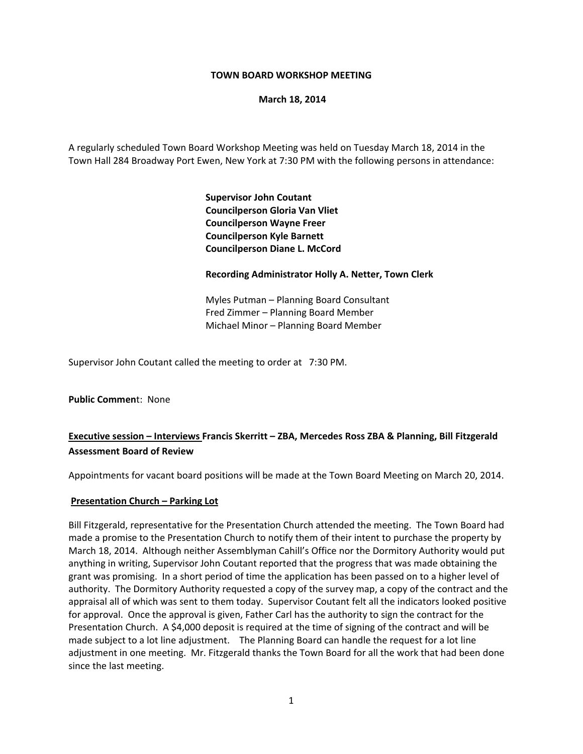### **TOWN BOARD WORKSHOP MEETING**

**March 18, 2014**

A regularly scheduled Town Board Workshop Meeting was held on Tuesday March 18, 2014 in the Town Hall 284 Broadway Port Ewen, New York at 7:30 PM with the following persons in attendance:

> **Supervisor John Coutant Councilperson Gloria Van Vliet Councilperson Wayne Freer Councilperson Kyle Barnett Councilperson Diane L. McCord**

### **Recording Administrator Holly A. Netter, Town Clerk**

 Myles Putman – Planning Board Consultant Fred Zimmer – Planning Board Member Michael Minor – Planning Board Member

Supervisor John Coutant called the meeting to order at 7:30 PM.

**Public Commen**t: None

# **Executive session – Interviews Francis Skerritt – ZBA, Mercedes Ross ZBA & Planning, Bill Fitzgerald Assessment Board of Review**

Appointments for vacant board positions will be made at the Town Board Meeting on March 20, 2014.

#### **Presentation Church – Parking Lot**

Bill Fitzgerald, representative for the Presentation Church attended the meeting. The Town Board had made a promise to the Presentation Church to notify them of their intent to purchase the property by March 18, 2014. Although neither Assemblyman Cahill's Office nor the Dormitory Authority would put anything in writing, Supervisor John Coutant reported that the progress that was made obtaining the grant was promising. In a short period of time the application has been passed on to a higher level of authority. The Dormitory Authority requested a copy of the survey map, a copy of the contract and the appraisal all of which was sent to them today. Supervisor Coutant felt all the indicators looked positive for approval. Once the approval is given, Father Carl has the authority to sign the contract for the Presentation Church. A \$4,000 deposit is required at the time of signing of the contract and will be made subject to a lot line adjustment. The Planning Board can handle the request for a lot line adjustment in one meeting. Mr. Fitzgerald thanks the Town Board for all the work that had been done since the last meeting.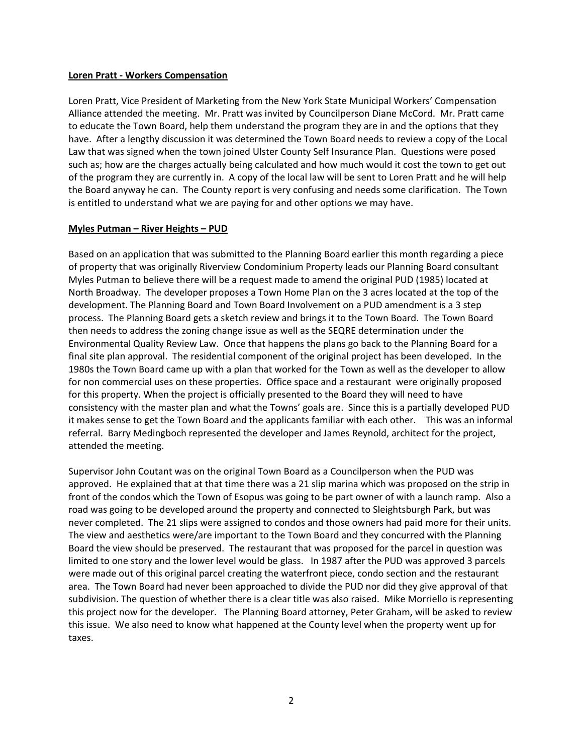#### **Loren Pratt ‐ Workers Compensation**

Loren Pratt, Vice President of Marketing from the New York State Municipal Workers' Compensation Alliance attended the meeting. Mr. Pratt was invited by Councilperson Diane McCord. Mr. Pratt came to educate the Town Board, help them understand the program they are in and the options that they have. After a lengthy discussion it was determined the Town Board needs to review a copy of the Local Law that was signed when the town joined Ulster County Self Insurance Plan. Questions were posed such as; how are the charges actually being calculated and how much would it cost the town to get out of the program they are currently in. A copy of the local law will be sent to Loren Pratt and he will help the Board anyway he can. The County report is very confusing and needs some clarification. The Town is entitled to understand what we are paying for and other options we may have.

### **Myles Putman – River Heights – PUD**

Based on an application that was submitted to the Planning Board earlier this month regarding a piece of property that was originally Riverview Condominium Property leads our Planning Board consultant Myles Putman to believe there will be a request made to amend the original PUD (1985) located at North Broadway. The developer proposes a Town Home Plan on the 3 acres located at the top of the development. The Planning Board and Town Board Involvement on a PUD amendment is a 3 step process. The Planning Board gets a sketch review and brings it to the Town Board. The Town Board then needs to address the zoning change issue as well as the SEQRE determination under the Environmental Quality Review Law. Once that happens the plans go back to the Planning Board for a final site plan approval. The residential component of the original project has been developed. In the 1980s the Town Board came up with a plan that worked for the Town as well as the developer to allow for non commercial uses on these properties. Office space and a restaurant were originally proposed for this property. When the project is officially presented to the Board they will need to have consistency with the master plan and what the Towns' goals are. Since this is a partially developed PUD it makes sense to get the Town Board and the applicants familiar with each other. This was an informal referral. Barry Medingboch represented the developer and James Reynold, architect for the project, attended the meeting.

Supervisor John Coutant was on the original Town Board as a Councilperson when the PUD was approved. He explained that at that time there was a 21 slip marina which was proposed on the strip in front of the condos which the Town of Esopus was going to be part owner of with a launch ramp. Also a road was going to be developed around the property and connected to Sleightsburgh Park, but was never completed. The 21 slips were assigned to condos and those owners had paid more for their units. The view and aesthetics were/are important to the Town Board and they concurred with the Planning Board the view should be preserved. The restaurant that was proposed for the parcel in question was limited to one story and the lower level would be glass. In 1987 after the PUD was approved 3 parcels were made out of this original parcel creating the waterfront piece, condo section and the restaurant area. The Town Board had never been approached to divide the PUD nor did they give approval of that subdivision. The question of whether there is a clear title was also raised. Mike Morriello is representing this project now for the developer. The Planning Board attorney, Peter Graham, will be asked to review this issue. We also need to know what happened at the County level when the property went up for taxes.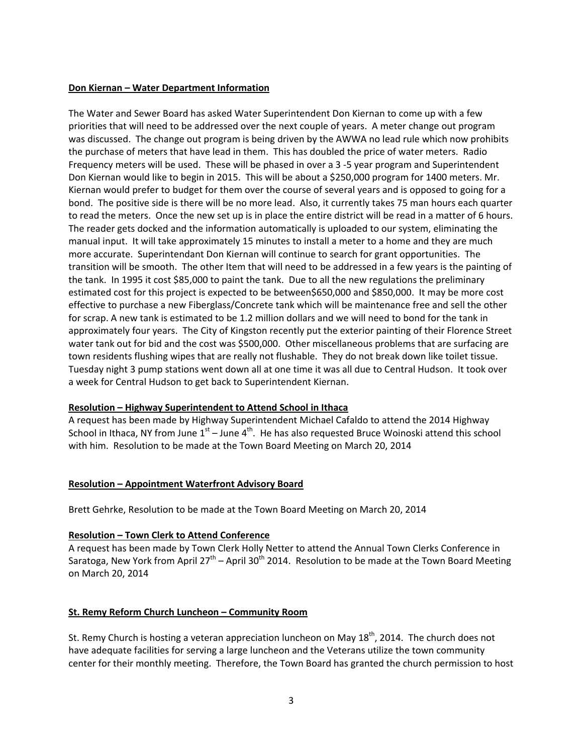### **Don Kiernan – Water Department Information**

The Water and Sewer Board has asked Water Superintendent Don Kiernan to come up with a few priorities that will need to be addressed over the next couple of years. A meter change out program was discussed. The change out program is being driven by the AWWA no lead rule which now prohibits the purchase of meters that have lead in them. This has doubled the price of water meters. Radio Frequency meters will be used. These will be phased in over a 3 ‐5 year program and Superintendent Don Kiernan would like to begin in 2015. This will be about a \$250,000 program for 1400 meters. Mr. Kiernan would prefer to budget for them over the course of several years and is opposed to going for a bond. The positive side is there will be no more lead. Also, it currently takes 75 man hours each quarter to read the meters. Once the new set up is in place the entire district will be read in a matter of 6 hours. The reader gets docked and the information automatically is uploaded to our system, eliminating the manual input. It will take approximately 15 minutes to install a meter to a home and they are much more accurate. Superintendant Don Kiernan will continue to search for grant opportunities. The transition will be smooth. The other Item that will need to be addressed in a few years is the painting of the tank. In 1995 it cost \$85,000 to paint the tank. Due to all the new regulations the preliminary estimated cost for this project is expected to be between\$650,000 and \$850,000. It may be more cost effective to purchase a new Fiberglass/Concrete tank which will be maintenance free and sell the other for scrap. A new tank is estimated to be 1.2 million dollars and we will need to bond for the tank in approximately four years. The City of Kingston recently put the exterior painting of their Florence Street water tank out for bid and the cost was \$500,000. Other miscellaneous problems that are surfacing are town residents flushing wipes that are really not flushable. They do not break down like toilet tissue. Tuesday night 3 pump stations went down all at one time it was all due to Central Hudson. It took over a week for Central Hudson to get back to Superintendent Kiernan.

# **Resolution – Highway Superintendent to Attend School in Ithaca**

A request has been made by Highway Superintendent Michael Cafaldo to attend the 2014 Highway School in Ithaca, NY from June  $1<sup>st</sup>$  – June 4<sup>th</sup>. He has also requested Bruce Woinoski attend this school with him. Resolution to be made at the Town Board Meeting on March 20, 2014

# **Resolution – Appointment Waterfront Advisory Board**

Brett Gehrke, Resolution to be made at the Town Board Meeting on March 20, 2014

# **Resolution – Town Clerk to Attend Conference**

A request has been made by Town Clerk Holly Netter to attend the Annual Town Clerks Conference in Saratoga, New York from April 27<sup>th</sup> – April 30<sup>th</sup> 2014. Resolution to be made at the Town Board Meeting on March 20, 2014

# **St. Remy Reform Church Luncheon – Community Room**

St. Remy Church is hosting a veteran appreciation luncheon on May 18<sup>th</sup>, 2014. The church does not have adequate facilities for serving a large luncheon and the Veterans utilize the town community center for their monthly meeting. Therefore, the Town Board has granted the church permission to host